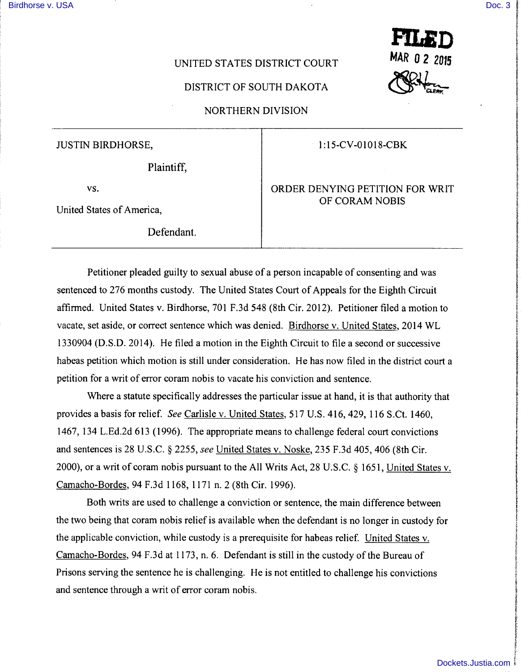**International Communication** 

International Contents of the Contents of the Contents of The Contents of The Contents of The Contents of The Contents of The Contents of The Contents of The Contents of The Contents of The Contents of The Contents of The ! i<br>internet

**Includes and includes the core** 

## **UNITED STATES DISTRICT COURT**

## DISTRICT OF SOUTH DAKOTA

NORTHERN DIVISION

JUSTIN BIRDHORSE,

## 1 :15-CV-01018-CBK

MAR 0 2 2015

Plaintiff,

vs.

United States of America,

Defendant.

ORDER DENYING PETITION FOR WRIT OF CORAM NOBIS

Petitioner pleaded guilty to sexual abuse of a person incapable of consenting and was sentenced to 276 months custody. The United States Court of Appeals for the Eighth Circuit affirmed. United States v. Birdhorse, 701 F.3d 548 (8th Cir. 2012). Petitioner filed a motion to vacate, set aside, or correct sentence which was denied. Birdhorse v. United States, 2014 WL 1330904 (D.S.D. 2014). He filed a motion in the Eighth Circuit to file a second or successive habeas petition which motion is still under consideration. He has now filed in the district court a petition for a writ of error coram nobis to vacate his conviction and sentence.

Where a statute specifically addresses the particular issue at hand, it is that authority that provides a basis for relief. *See* Carlisle v. United States, 517 U.S. 416, 429, 116 S.Ct. 1460, 1467, 134 L.Ed.2d 613 ( 1996). The appropriate means to challenge federal court convictions and sentences is 28 U.S.C. § 2255, *see* United States v. Noske, 235 F.3d 405, 406 (8th Cir. 2000), or a writ of coram nobis pursuant to the All Writs Act, 28 U.S.C. § 1651, United States v. Camacho-Bordes, 94 F.3d 1168, 1171 n. 2 (8th Cir. 1996).

Both writs are used to challenge a conviction or sentence, the main difference between the two being that coram nobis relief is available when the defendant is no longer in custody for the applicable conviction, while custody is a prerequisite for habeas relief. United States v. Camacho-Bordes, 94 F.3d at 1173, n. 6. Defendant is still in the custody of the Bureau of Prisons serving the sentence he is challenging. He is not entitled to challenge his convictions and sentence through a writ of error coram nobis.